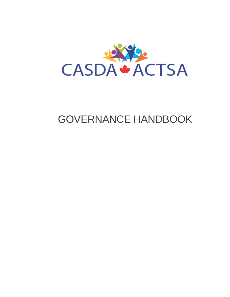<span id="page-0-0"></span>

# GOVERNANCE HANDBOOK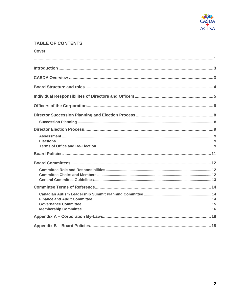

# **TABLE OF CONTENTS**

| <b>Cover</b> |  |
|--------------|--|
|              |  |
|              |  |
|              |  |
|              |  |
|              |  |
|              |  |
|              |  |
|              |  |
|              |  |
|              |  |
|              |  |
|              |  |
|              |  |
|              |  |
|              |  |
|              |  |
|              |  |
|              |  |
|              |  |
|              |  |
|              |  |
|              |  |
|              |  |
|              |  |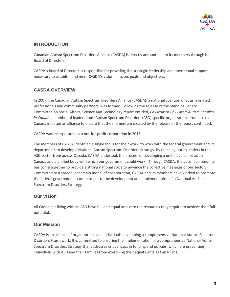

# <span id="page-2-0"></span>**INTRODUCTION**

Canadian Autism Spectrum Disorders Alliance (CASDA) is directly accountable to its members through its Board of Directors.

CASDA's Board of Directors is responsible for providing the strategic leadership and operational support necessary to establish and meet CASDA's vision, mission, goals and objectives.

# <span id="page-2-1"></span>**CASDA OVERVIEW**

In 2007, the Canadian Autism Spectrum Disorders Alliance (CASDA), a national coalition of autism related professionals and community partners, was formed. Following the release of the Standing Senate Committee on Social Affairs, Science and Technology report entitled, *Pay Now or Pay Later: Autism Families in Canada* a number of leaders from Autism Spectrum Disorders (ASD) specific organizations from across Canada initiated an alliance to ensure that the momentum created by the release of the report continued.

CASDA was incorporated as a not-for-profit corporation in 2015.

The members of CASDA identified a single focus for their work: to work with the federal government and its departments to develop a National Autism Spectrum Disorders Strategy. By reaching out to leaders in the ASD sector from across Canada, CASDA undertook the process of developing a unified voice for autism in Canada and a unified body with which our government could work. Through CASDA, the autism community has come together to provide a strong national voice to advance the collective messages of our sector. Committed to a shared leadership model of collaboration, CASDA and its members have worked to promote the federal government's commitment to the development and implementation of a National Autism Spectrum Disorders Strategy.

# **Our Vision**

All Canadians living with an ASD have full and equal access to the resources they require to achieve their full potential.

### **Our Mission**

CASDA is an alliance of organizations and individuals developing a comprehensive National Autism Spectrum Disorders Framework. It is committed to ensuring the implementation of a comprehensive National Autism Spectrum Disorders Strategy that addresses critical gaps in funding and policies, which are preventing individuals with ASD and their families from exercising their equal rights as Canadians.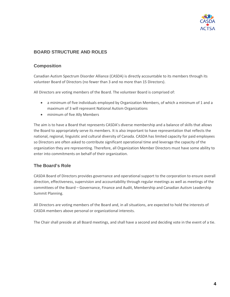

# <span id="page-3-0"></span>**BOARD STRUCTURE AND ROLES**

### **Composition**

Canadian Autism Spectrum Disorder Alliance (CASDA) is directly accountable to its members through its volunteer Board of Directors (no fewer than 3 and no more than 15 Directors).

All Directors are voting members of the Board. The volunteer Board is comprised of:

- a minimum of five individuals employed by Organization Members, of which a minimum of 1 and a maximum of 3 will represent National Autism Organizations
- minimum of five Ally Members

The aim is to have a Board that represents CASDA's diverse membership and a balance of skills that allows the Board to appropriately serve its members. It is also important to have representation that reflects the national, regional, linguistic and cultural diversity of Canada. CASDA has limited capacity for paid employees so Directors are often asked to contribute significant operational time and leverage the capacity of the organization they are representing. Therefore, all Organization Member Directors must have some ability to enter into commitments on behalf of their organization.

### **The Board's Role**

CASDA Board of Directors provides governance and operational support to the corporation to ensure overall direction, effectiveness, supervision and accountability through regular meetings as well as meetings of the committees of the Board – Governance, Finance and Audit, Membership and Canadian Autism Leadership Summit Planning.

All Directors are voting members of the Board and, in all situations, are expected to hold the interests of CASDA members above personal or organizational interests.

The Chair shall preside at all Board meetings, and shall have a second and deciding vote in the event of a tie.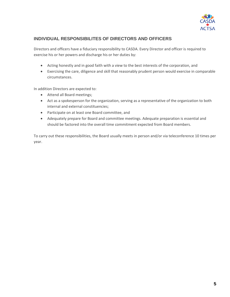

### <span id="page-4-0"></span>**INDIVIDUAL RESPONSIBILITES OF DIRECTORS AND OFFICERS**

Directors and officers have a fiduciary responsibility to CASDA. Every Director and officer is required to exercise his or her powers and discharge his or her duties by:

- Acting honestly and in good faith with a view to the best interests of the corporation, and
- Exercising the care, diligence and skill that reasonably prudent person would exercise in comparable circumstances.

In addition Directors are expected to:

- Attend all Board meetings;
- Act as a spokesperson for the organization, serving as a representative of the organization to both internal and external constituencies;
- Participate on at least one Board committee, and
- Adequately prepare for Board and committee meetings. Adequate preparation is essential and should be factored into the overall time commitment expected from Board members.

To carry out these responsibilities, the Board usually meets in person and/or via teleconference 10 times per year.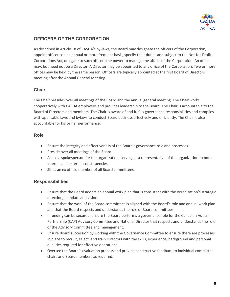

# <span id="page-5-0"></span>**OFFICERS OF THE CORPORATION**

As described in Article 18 of CASDA's by-laws, the Board may designate the officers of the Corporation, appoint officers on an annual or more frequent basis, specify their duties and subject to the Not-for-Profit Corporations Act, delegate to such officers the power to manage the affairs of the Corporation. An officer may, but need not be a Director. A Director may be appointed to any office of the Corporation. Two or more offices may be held by the same person. Officers are typically appointed at the first Board of Directors meeting after the Annual General Meeting.

### **Chair**

The Chair presides over all meetings of the Board and the annual general meeting. The Chair works cooperatively with CASDA employees and provides leadership to the Board. The Chair is accountable to the Board of Directors and members. The Chair is aware of and fulfills governance responsibilities and complies with applicable laws and bylaws to conduct Board business effectively and efficiently. The Chair is also accountable for his or her performance.

### **Role**

- Ensure the integrity and effectiveness of the Board's governance role and processes.
- Preside over all meetings of the Board.
- Act as a spokesperson for the organization, serving as a representative of the organization to both internal and external constituencies.
- Sit as an ex officio member of all Board committees.

### **Responsibilities**

- Ensure that the Board adopts an annual work plan that is consistent with the organization's strategic direction, mandate and vision.
- Ensure that the work of the Board committees is aligned with the Board's role and annual work plan and that the Board respects and understands the role of Board committees.
- If funding can be secured, ensure the Board performs a governance role for the Canadian Autism Partnership (CAP) Advisory Committee and National Director that respects and understands the role of the Advisory Committee and management.
- Ensure Board succession by working with the Governance Committee to ensure there are processes in place to recruit, select, and train Directors with the skills, experience, background and personal qualities required for effective operations.
- Oversee the Board's evaluation process and provide constructive feedback to individual committee chairs and Board members as required.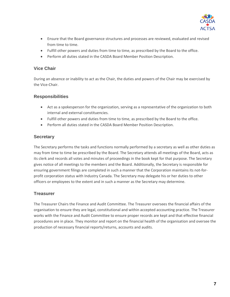

- Ensure that the Board governance structures and processes are reviewed, evaluated and revised from time to time.
- Fulfill other powers and duties from time to time, as prescribed by the Board to the office.
- Perform all duties stated in the CASDA Board Member Position Description.

### **Vice Chair**

During an absence or inability to act as the Chair, the duties and powers of the Chair may be exercised by the Vice-Chair.

### **Responsibilities**

- Act as a spokesperson for the organization, serving as a representative of the organization to both internal and external constituencies.
- Fulfill other powers and duties from time to time, as prescribed by the Board to the office.
- Perform all duties stated in the CASDA Board Member Position Description.

### **Secretary**

The Secretary performs the tasks and functions normally performed by a secretary as well as other duties as may from time to time be prescribed by the Board. The Secretary attends all meetings of the Board, acts as its clerk and records all votes and minutes of proceedings in the book kept for that purpose. The Secretary gives notice of all meetings to the members and the Board. Additionally, the Secretary is responsible for ensuring government filings are completed in such a manner that the Corporation maintains its not-forprofit corporation status with Industry Canada. The Secretary may delegate his or her duties to other officers or employees to the extent and in such a manner as the Secretary may determine.

### **Treasurer**

The Treasurer Chairs the Finance and Audit Committee. The Treasurer oversees the financial affairs of the organisation to ensure they are legal, constitutional and within accepted accounting practice. The Treasurer works with the Finance and Audit Committee to ensure proper records are kept and that effective financial procedures are in place. They monitor and report on the financial health of the organisation and oversee the production of necessary financial reports/returns, accounts and audits.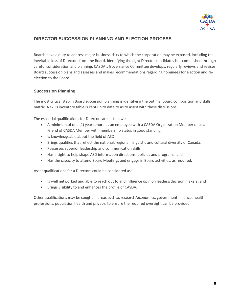

# <span id="page-7-0"></span>**DIRECTOR SUCCESSION PLANNING AND ELECTION PROCESS**

Boards have a duty to address major business risks to which the corporation may be exposed, including the inevitable loss of Directors from the Board. Identifying the right Director candidates is accomplished through careful consideration and planning. CASDA's Governance Committee develops, regularly reviews and revises Board succession plans and assesses and makes recommendations regarding nominees for election and reelection to the Board.

### <span id="page-7-1"></span>**Succession Planning**

The most critical step in Board succession planning is identifying the optimal Board composition and skills matrix. A skills inventory table is kept up to date to as to assist with these discussions.

The essential qualifications for Directors are as follows:

- A minimum of one (1) year tenure as an employee with a CASDA Organization Member or as a Friend of CASDA Member with membership status in good standing;
- Is knowledgeable about the field of ASD;
- Brings qualities that reflect the national, regional, linguistic and cultural diversity of Canada;
- Possesses superior leadership and communication skills;
- Has insight to help shape ASD information directions, policies and programs; and
- Has the capacity to attend Board Meetings and engage in Board activities, as required.

Asset qualifications for a Directors could be considered as:

- Is well networked and able to reach out to and influence opinion leaders/decision makers; and
- Brings visibility to and enhances the profile of CASDA.

Other qualifications may be sought in areas such as research/economics, government, finance, health professions, population health and privacy, to ensure the required oversight can be provided.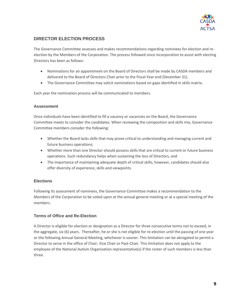

# <span id="page-8-0"></span>**DIRECTOR ELECTION PROCESS**

The Governance Committee assesses and makes recommendations regarding nominees for election and reelection by the Members of the Corporation. The process followed since incorporation to assist with electing Directors has been as follows:

- Nominations for an appointment on the Board of Directors shall be made by CASDA members and delivered to the Board of Directors Chair prior to the Fiscal Year end (December 31).
- The Governance Committee may solicit nominations based on gaps identified in skills matrix.

<span id="page-8-1"></span>Each year the nomination process will be communicated to members.

#### **Assessment**

Once individuals have been identified to fill a vacancy or vacancies on the Board, the Governance Committee meets to consider the candidates. When reviewing the composition and skills mix, Governance Committee members consider the following:

- Whether the Board lacks skills that may prove critical to understanding and managing current and future business operations;
- Whether more than one Director should possess skills that are critical to current or future business operations. Such redundancy helps when sustaining the loss of Directors, and
- The importance of maintaining adequate depth of critical skills; however, candidates should also offer diversity of experience, skills and viewpoints.

### <span id="page-8-2"></span>**Elections**

Following its assessment of nominees, the Governance Committee makes a recommendation to the Members of the Corporation to be voted upon at the annual general meeting or at a special meeting of the members.

### <span id="page-8-3"></span>**Terms of Office and Re-Election**

A Director is eligible for election or designation as a Director for three consecutive terms not to exceed, in the aggregate, six (6) years. Thereafter, he or she is not eligible for re-election until the passing of one year or the following Annual General Meeting, whichever is sooner. This limitation can be abrogated to permit a Director to serve in the office of Chair, Vice Chair or Past-Chair. This limitation does not apply to the employee of the National Autism Organization representative(s) if the roster of such members is less than three.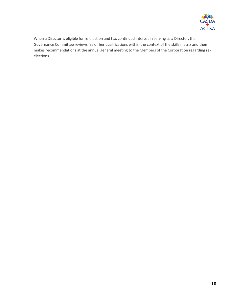

When a Director is eligible for re-election and has continued interest in serving as a Director, the Governance Committee reviews his or her qualifications within the context of the skills matrix and then makes recommendations at the annual general meeting to the Members of the Corporation regarding reelections.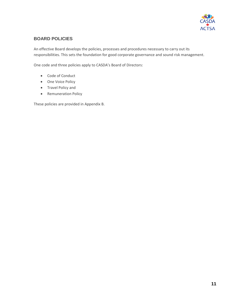

### <span id="page-10-0"></span>**BOARD POLICIES**

An effective Board develops the policies, processes and procedures necessary to carry out its responsibilities. This sets the foundation for good corporate governance and sound risk management.

One code and three policies apply to CASDA's Board of Directors:

- Code of Conduct
- One Voice Policy
- Travel Policy and
- Remuneration Policy

These policies are provided in Appendix B.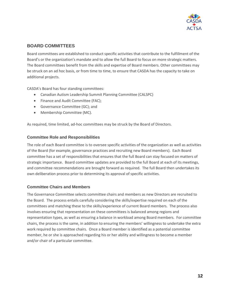

### <span id="page-11-0"></span>**BOARD COMMITTEES**

Board committees are established to conduct specific activities that contribute to the fulfillment of the Board's or the organization's mandate and to allow the full Board to focus on more strategic matters. The Board committees benefit from the skills and expertise of Board members. Other committees may be struck on an ad hoc basis, or from time to time, to ensure that CASDA has the capacity to take on additional projects.

CASDA's Board has four standing committees:

- Canadian Autism Leadership Summit Planning Committee (CALSPC)
- Finance and Audit Committee (FAC);
- Governance Committee (GC); and
- Membership Committee (MC).

<span id="page-11-1"></span>As required, time limited, ad-hoc committees may be struck by the Board of Directors.

#### **Committee Role and Responsibilities**

The role of each Board committee is to oversee specific activities of the organization as well as activities of the Board (for example, governance practices and recruiting new Board members). Each Board committee has a set of responsibilities that ensures that the full Board can stay focused on matters of strategic importance. Board committee updates are provided to the full Board at each of its meetings, and committee recommendations are brought forward as required. The full Board then undertakes its own deliberation process prior to determining its approval of specific activities.

#### <span id="page-11-2"></span>**Committee Chairs and Members**

The Governance Committee selects committee chairs and members as new Directors are recruited to the Board. The process entails carefully considering the skills/expertise required on each of the committees and matching these to the skills/experience of current Board members. The process also involves ensuring that representation on these committees is balanced among regions and representation types, as well as ensuring a balance in workload among Board members. For committee chairs, the process is the same, in addition to ensuring the members' willingness to undertake the extra work required by committee chairs. Once a Board member is identified as a potential committee member, he or she is approached regarding his or her ability and willingness to become a member and/or chair of a particular committee.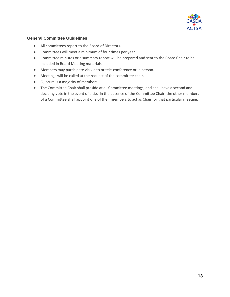

#### <span id="page-12-0"></span>**General Committee Guidelines**

- All committees report to the Board of Directors.
- Committees will meet a minimum of four times per year.
- Committee minutes or a summary report will be prepared and sent to the Board Chair to be included in Board Meeting materials.
- Members may participate via video or tele-conference or in person.
- Meetings will be called at the request of the committee chair.
- Quorum is a majority of members.
- The Committee Chair shall preside at all Committee meetings, and shall have a second and deciding vote in the event of a tie. In the absence of the Committee Chair, the other members of a Committee shall appoint one of their members to act as Chair for that particular meeting.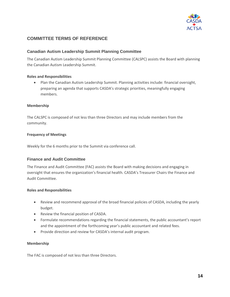

### <span id="page-13-0"></span>**COMMITTEE TERMS OF REFERENCE**

#### <span id="page-13-1"></span>**Canadian Autism Leadership Summit Planning Committee**

The Canadian Autism Leadership Summit Planning Committee (CALSPC) assists the Board with planning the Canadian Autism Leadership Summit.

#### **Roles and Responsibilities**

• Plan the Canadian Autism Leadership Summit. Planning activities include: financial oversight, preparing an agenda that supports CASDA's strategic priorities, meaningfully engaging members.

#### **Membership**

The CALSPC is composed of not less than three Directors and may include members from the community.

#### **Frequency of Meetings**

<span id="page-13-2"></span>Weekly for the 6 months prior to the Summit via conference call.

#### **Finance and Audit Committee**

The Finance and Audit Committee (FAC) assists the Board with making decisions and engaging in oversight that ensures the organization's financial health. CASDA's Treasurer Chairs the Finance and Audit Committee.

#### **Roles and Responsibilities**

- Review and recommend approval of the broad financial policies of CASDA, including the yearly budget.
- Review the financial position of CASDA.
- Formulate recommendations regarding the financial statements, the public accountant's report and the appointment of the forthcoming year's public accountant and related fees.
- Provide direction and review for CASDA's internal audit program.

#### **Membership**

The FAC is composed of not less than three Directors.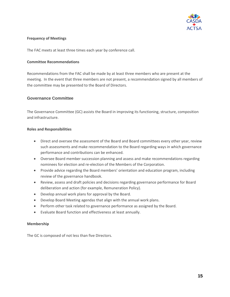

#### **Frequency of Meetings**

The FAC meets at least three times each year by conference call.

#### **Committee Recommendations**

Recommendations from the FAC shall be made by at least three members who are present at the meeting. In the event that three members are not present, a recommendation signed by all members of the committee may be presented to the Board of Directors.

#### <span id="page-14-0"></span>**Governance Committee**

The Governance Committee (GC) assists the Board in improving its functioning, structure, composition and infrastructure.

#### **Roles and Responsibilities**

- Direct and oversee the assessment of the Board and Board committees every other year, review such assessments and make recommendation to the Board regarding ways in which governance performance and contributions can be enhanced.
- Oversee Board member succession planning and assess and make recommendations regarding nominees for election and re-election of the Members of the Corporation.
- Provide advice regarding the Board members' orientation and education program, including review of the governance handbook.
- Review, assess and draft policies and decisions regarding governance performance for Board deliberation and action (for example, Remuneration Policy).
- Develop annual work plans for approval by the Board.
- Develop Board Meeting agendas that align with the annual work plans.
- Perform other task related to governance performance as assigned by the Board.
- Evaluate Board function and effectiveness at least annually.

#### **Membership**

The GC is composed of not less than five Directors.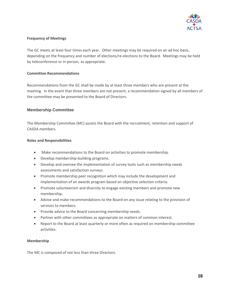

#### **Frequency of Meetings**

The GC meets at least four times each year. Other meetings may be required on an ad hoc basis, depending on the frequency and number of elections/re-elections to the Board. Meetings may be held by teleconference or in person, as appropriate.

#### **Committee Recommendations**

Recommendations from the GC shall be made by at least three members who are present at the meeting. In the event that three members are not present, a recommendation signed by all members of the committee may be presented to the Board of Directors.

#### <span id="page-15-0"></span>**Membership Committee**

The Membership Committee (MC) assists the Board with the recruitment, retention and support of CASDA members.

#### **Roles and Responsibilities**

- Make recommendations to the Board on activities to promote membership.
- Develop membership-building programs.
- Develop and oversee the implementation of survey tools such as membership needs assessments and satisfaction surveys.
- Promote membership peer recognition which may include the development and implementation of an awards program based on objective selection criteria.
- Promote volunteerism and diversity to engage existing members and promote new membership.
- Advise and make recommendations to the Board on any issue relating to the provision of services to members.
- Provide advice to the Board concerning membership needs.
- Partner with other committees as appropriate on matters of common interest.
- Report to the Board at least quarterly or more often as required on membership committee activities.

#### **Membership**

The MC is composed of not less than three Directors.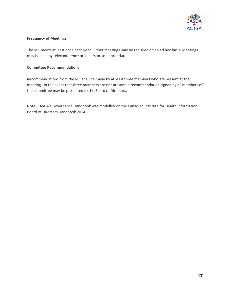

#### **Frequency of Meetings**

The MC meets at least once each year. Other meetings may be required on an ad hoc basis. Meetings may be held by teleconference or in person, as appropriate.

#### **Committee Recommendations**

Recommendations from the MC shall be made by at least three members who are present at the meeting. In the event that three members are not present, a recommendation signed by all members of the committee may be presented to the Board of Directors.

Note: CASDA's Governance Handbook was modelled on the Canadian Institute for Health Information, Board of Directors Handbook 2014.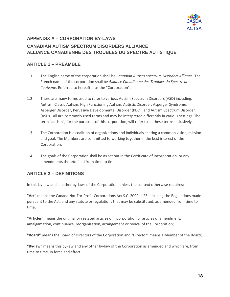<span id="page-17-1"></span>

# <span id="page-17-0"></span>**APPENDIX A – CORPORATION BY-LAWS CANADIAN AUTISM SPECTRUM DISORDERS ALLIANCE ALLIANCE CANADIENNE DES TROUBLES DU SPECTRE AUTISTIQUE**

# **ARTICLE 1 – PREAMBLE**

- 1.1 The English name of the corporation shall be *Canadian Autism Spectrum Disorders Alliance.* The French name of the corporation shall be *Alliance Canadienne des Troubles du Spectre de l'autisme.* Referred to hereafter as the "Corporation".
- 1.2 There are many terms used to refer to various Autism Spectrum Disorders (ASD) including: Autism, Classic Autism, High Functioning Autism, Autistic Disorder, Asperger Syndrome, Asperger Disorder, Pervasive Developmental Disorder (PDD), and Autism Spectrum Disorder (ASD). All are commonly used terms and may be interpreted differently in various settings. The term "autism", for the purposes of this corporation, will refer to all these terms inclusively.
- 1.3 The Corporation is a coalition of organizations and individuals sharing a common vision, mission and goal. The Members are committed to working together in the best interest of the Corporation.
- 1.4 The goals of the Corporation shall be as set out in the Certificate of Incorporation, or any amendments thereto filed from time to time.

# **ARTICLE 2 – DEFINITIONS**

In this by-law and all other by-laws of the Corporation, unless the context otherwise requires:

**"Act"** means the Canada Not-For-Profit Corporations Act S.C. 2009, c.23 including the Regulations made pursuant to the Act, and any statute or regulations that may be substituted, as amended from time to time;

**"Articles"** means the original or restated articles of incorporation or articles of amendment, amalgamation, continuance, reorganization, arrangement or revival of the Corporation;

**"Board"** means the Board of Directors of the Corporation and "Director" means a Member of the Board;

**"By-law"** means this by-law and any other by-law of the Corporation as amended and which are, from time to time, in force and effect;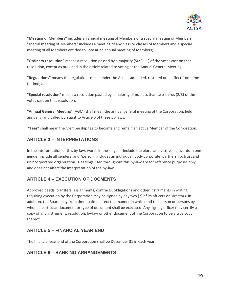

**"Meeting of Members"** includes an annual meeting of Members or a special meeting of Members; "special meeting of Members" includes a meeting of any class or classes of Members and a special meeting of all Members entitled to vote at an annual meeting of Members;

**"Ordinary resolution"** means a resolution passed by a majority (50% + 1) of the votes cast on that resolution, except as provided in the article related to voting at the Annual General Meeting;

**"Regulations"** means the regulations made under the Act, as amended, restated or in effect from time to time; and

**"Special resolution"** means a resolution passed by a majority of not less than two-thirds (2/3) of the votes cast on that resolution.

**"Annual General Meeting"** (AGM) shall mean the annual general meeting of the Corporation, held annually, and called pursuant to Article 6 of these by-laws.

**"Fees"** shall mean the Membership fee to become and remain an active Member of the Corporation.

# **ARTICLE 3 – INTERPRETATIONS**

In the interpretation of this by-law, words in the singular include the plural and vice-versa, words in one gender include all genders, and "person" includes an individual, body corporate, partnership, trust and unincorporated organization. Headings used throughout this by-law are for reference purposes only and does not affect the interpretation of the by-law.

# **ARTICLE 4 – EXECUTION OF DOCMENTS**

Approved deeds, transfers, assignments, contracts, obligations and other instruments in writing requiring execution by the Corporation may be signed by any two (2) of its officers or Directors. In addition, the Board may from time to time direct the manner in which and the person or persons by whom a particular document or type of document shall be executed. Any signing officer may certify a copy of any instrument, resolution, by-law or other document of the Corporation to be a true copy thereof.

### **ARTICLE 5 – FINANCIAL YEAR END**

The financial year end of the Corporation shall be December 31 in each year.

# **ARTICLE 6 – BANKING ARRANGEMENTS**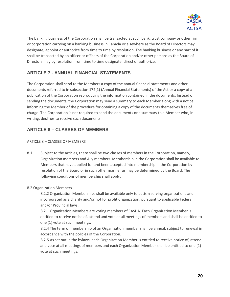

The banking business of the Corporation shall be transacted at such bank, trust company or other firm or corporation carrying on a banking business in Canada or elsewhere as the Board of Directors may designate, appoint or authorize from time to time by resolution. The banking business or any part of it shall be transacted by an officer or officers of the Corporation and/or other persons as the Board of Directors may by resolution from time to time designate, direct or authorize.

# **ARTICLE 7 - ANNUAL FINANCIAL STATEMENTS**

The Corporation shall send to the Members a copy of the annual financial statements and other documents referred to in subsection 172(1) (Annual Financial Statements) of the Act or a copy of a publication of the Corporation reproducing the information contained in the documents. Instead of sending the documents, the Corporation may send a summary to each Member along with a notice informing the Member of the procedure for obtaining a copy of the documents themselves free of charge. The Corporation is not required to send the documents or a summary to a Member who, in writing, declines to receive such documents.

# **ARTICLE 8 – CLASSES OF MEMBERS**

#### ARTICLE 8 – CLASSES OF MEMBERS

8.1 Subject to the articles, there shall be two classes of members in the Corporation, namely, Organization members and Ally members. Membership in the Corporation shall be available to Members that have applied for and been accepted into membership in the Corporation by resolution of the Board or in such other manner as may be determined by the Board. The following conditions of membership shall apply:

#### 8.2 Organization Members

8.2.2 Organization Memberships shall be available only to autism serving organizations and incorporated as a charity and/or not for profit organization, pursuant to applicable Federal and/or Provincial laws.

8.2.1 Organization Members are voting members of CASDA. Each Organization Member is entitled to receive notice of, attend and vote at all meetings of members and shall be entitled to one (1) vote at such meetings.

8.2.4 The term of membership of an Organization member shall be annual, subject to renewal in accordance with the policies of the Corporation.

8.2.5 As set out in the bylaws, each Organization Member is entitled to receive notice of, attend and vote at all meetings of members and each Organization Member shall be entitled to one (1) vote at such meetings.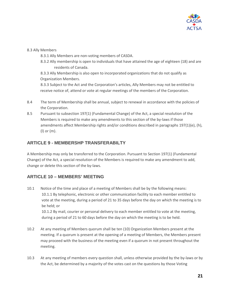

#### 8.3 Ally Members

- 8.3.1 Ally Members are non-voting members of CASDA.
- 8.3.2 Ally membership is open to individuals that have attained the age of eighteen (18) and are residents of Canada.

8.3.3 Ally Membership is also open to incorporated organizations that do not qualify as Organization Members.

8.3.3 Subject to the Act and the Corporation's articles, Ally Members may not be entitled to receive notice of, attend or vote at regular meetings of the members of the Corporation.

- 8.4 The term of Membership shall be annual, subject to renewal in accordance with the policies of the Corporation.
- 8.5 Pursuant to subsection 197(1) (Fundamental Change) of the Act, a special resolution of the Members is required to make any amendments to this section of the by-laws if those amendments affect Membership rights and/or conditions described in paragraphs 197(1)(e), (h), (l) or (m).

### **ARTICLE 9 - MEMBERSHP TRANSFERABILTY**

A Membership may only be transferred to the Corporation. Pursuant to Section 197(1) (Fundamental Change) of the Act, a special resolution of the Members is required to make any amendment to add, change or delete this section of the by-laws.

### **ARTICLE 10 – MEMBERS' MEETING**

10.1 Notice of the time and place of a meeting of Members shall be by the following means: 10.1.1 By telephonic, electronic or other communication facility to each member entitled to vote at the meeting, during a period of 21 to 35 days before the day on which the meeting is to be held; or 10.1.2 By mail, courier or personal delivery to each member entitled to vote at the meeting,

during a period of 21 to 60 days before the day on which the meeting is to be held.

- 10.2 At any meeting of Members quorum shall be ten (10) Organization Members present at the meeting. If a quorum is present at the opening of a meeting of Members, the Members present may proceed with the business of the meeting even if a quorum in not present throughout the meeting.
- 10.3 At any meeting of members every question shall, unless otherwise provided by the by-laws or by the Act, be determined by a majority of the votes cast on the questions by those Voting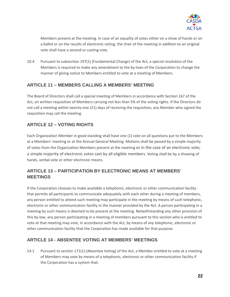

Members present at the meeting. In case of an equality of votes either on a show of hands or on a ballot or on the results of electronic voting, the chair of the meeting in addition to an original vote shall have a second or casting vote.

10.4 Pursuant to subsection 197(1) (Fundamental Change) of the Act, a special resolution of the Members is required to make any amendment to the by-laws of the Corporation to change the manner of giving notice to Members entitled to vote at a meeting of Members.

# **ARTICLE 11 – MEMBERS CALLING A MEMBERS' MEETING**

The Board of Directors shall call a special meeting of Members in accordance with Section 167 of the Act, on written requisition of Members carrying not less than 5% of the voting rights. If the Directors do not call a meeting within twenty-one (21) days of receiving the requisition, any Member who signed the requisition may call the meeting.

# **ARTICLE 12 – VOTING RIGHTS**

Each Organization Member in good standing shall have one (1) vote on all questions put to the Members at a Members' meeting or at the Annual General Meeting. Motions shall be passed by a simple majority of votes from the Organization Members present at the meeting or in the case of an electronic vote, a simple majority of electronic votes cast by all eligible members. Voting shall be by a showing of hands, verbal vote or other electronic means.

# **ARTICLE 13 – PARTICIPATION BY ELECTRONIC MEANS AT MEMBERS' MEETINGS**

If the Corporation chooses to make available a telephonic, electronic or other communication facility that permits all participants to communicate adequately with each other during a meeting of members, any person entitled to attend such meeting may participate in the meeting by means of such telephonic, electronic or other communication facility in the manner provided by the Act. A person participating in a meeting by such means is deemed to be present at the meeting. Notwithstanding any other provision of this by-law, any person participating in a meeting of members pursuant to this section who is entitled to vote at that meeting may vote, in accordance with the Act, by means of any telephonic, electronic or other communication facility that the Corporation has made available for that purpose.

# **ARTICLE 14 - ABSENTEE VOTING AT MEMBERS' MEETINGS**

14.1 Pursuant to section 171(1) (Absentee Voting) of the Act, a Member entitled to vote at a meeting of Members may vote by means of a telephonic, electronic or other communication facility if the Corporation has a system that: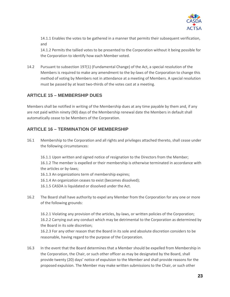

14.1.1 Enables the votes to be gathered in a manner that permits their subsequent verification, and

14.1.2 Permits the tallied votes to be presented to the Corporation without it being possible for the Corporation to identify how each Member voted.

14.2 Pursuant to subsection 197(1) (Fundamental Change) of the Act, a special resolution of the Members is required to make any amendment to the by-laws of the Corporation to change this method of voting by Members not in attendance at a meeting of Members. A special resolution must be passed by at least two-thirds of the votes cast at a meeting.

### **ARTICLE 15 – MEMBERSHIP DUES**

Members shall be notified in writing of the Membership dues at any time payable by them and, if any are not paid within ninety (90) days of the Membership renewal date the Members in default shall automatically cease to be Members of the Corporation.

### **ARTICLE 16 – TERMINATION OF MEMBERSHIP**

16.1 Membership to the Corporation and all rights and privileges attached thereto, shall cease under the following circumstances:

16.1.1 Upon written and signed notice of resignation to the Directors from the Member; 16.1.2 The member is expelled or their membership is otherwise terminated in accordance with the articles or by-laws;

16.1.3 An organizations term of membership expires;

16.1.4 An organization ceases to exist (becomes dissolved);

16.1.5 CASDA is liquidated or dissolved under the Act.

16.2 The Board shall have authority to expel any Member from the Corporation for any one or more of the following grounds:

16.2.1 Violating any provision of the articles, by-laws, or written policies of the Corporation; 16.2.2 Carrying out any conduct which may be detrimental to the Corporation as determined by the Board in its sole discretion;

16.2.3 For any other reason that the Board in its sole and absolute discretion considers to be reasonable, having regard to the purpose of the Corporation.

16.3 In the event that the Board determines that a Member should be expelled from Membership in the Corporation, the Chair, or such other officer as may be designated by the Board, shall provide twenty (20) days' notice of expulsion to the Member and shall provide reasons for the proposed expulsion. The Member may make written submissions to the Chair, or such other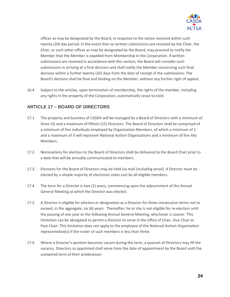

officer as may be designated by the Board, in response to the notice received within such twenty (20) day period. In the event that no written submissions are received by the Chair, the Chair, or such other officer as may be designated by the Board, may proceed to notify the Member that the Member is expelled from Membership in the Corporation. If written submissions are received in accordance with this section, the Board will consider such submissions in arriving at a final decision and shall notify the Member concerning such final decision within a further twenty (20) days from the date of receipt of the submissions. The Board's decision shall be final and binding on the Member, without any further right of appeal.

16.4 Subject to the articles, upon termination of membership, the rights of the member, including any rights in the property of the Corporation, automatically cease to exist.

### **ARTICLE 17 – BOARD OF DIRECTORS**

- 17.1 The property and business of CASDA will be managed by a Board of Directors with a minimum of three (3) and a maximum of fifteen (15) Directors. The Board of Directors shall be comprised of a minimum of five individuals employed by Organization Members, of which a minimum of 1 and a maximum of 3 will represent National Autism Organizations and a minimum of five Ally Members.
- 17.2 Nominations for election to the Board of Directors shall be delivered to the Board Chair prior to a date that will be annually communicated to members.
- 17.3 Elections for the Board of Directors may be held via mail (including email). A Director must be elected by a simple majority of electronic votes cast by all eligible members.
- 17.4 The term for a Director is two (2) years, commencing upon the adjournment of the Annual General Meeting at which the Director was elected.
- 17.5 A Director is eligible for election or designation as a Director for three consecutive terms not to exceed, in the aggregate, six (6) years. Thereafter, he or she is not eligible for re-election until the passing of one year or the following Annual General Meeting, whichever is sooner. This limitation can be abrogated to permit a Director to serve in the office of Chair, Vice Chair or Past-Chair. This limitation does not apply to the employee of the National Autism Organization representative(s) if the roster of such members is less than three.
- 17.6 Where a Director's position becomes vacant during the term, a quorum of Directors may fill the vacancy. Directors so appointed shall serve from the date of appointment by the Board until the unexpired term of their predecessor.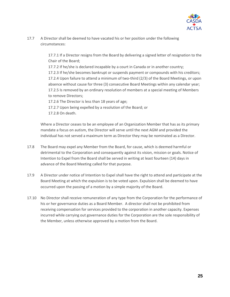

17.7 A Director shall be deemed to have vacated his or her position under the following circumstances:

> 17.7.1 If a Director resigns from the Board by delivering a signed letter of resignation to the Chair of the Board;

> 17.7.2 If he/she is declared incapable by a court in Canada or in another country; 17.2.3 If he/she becomes bankrupt or suspends payment or compounds with his creditors; 17.2.4 Upon failure to attend a minimum of two-third (2/3) of the Board Meetings, or upon absence without cause for three (3) consecutive Board Meetings within any calendar year; 17.2.5 Is removed by an ordinary resolution of members at a special meeting of Members to remove Directors;

17.2.6 The Director is less than 18 years of age;

17.2.7 Upon being expelled by a resolution of the Board; or 17.2.8 On death.

Where a Director ceases to be an employee of an Organization Member that has as its primary mandate a focus on autism, the Director will serve until the next AGM and provided the individual has not served a maximum term as Director they may be nominated as a Director.

- 17.8 The Board may expel any Member from the Board, for cause, which is deemed harmful or detrimental to the Corporation and consequently against its vision, mission or goals. Notice of Intention to Expel from the Board shall be served in writing at least fourteen (14) days in advance of the Board Meeting called for that purpose.
- 17.9 A Director under notice of Intention to Expel shall have the right to attend and participate at the Board Meeting at which the expulsion is to be voted upon. Expulsion shall be deemed to have occurred upon the passing of a motion by a simple majority of the Board.
- 17.10 No Director shall receive remuneration of any type from the Corporation for the performance of his or her governance duties as a Board Member. A director shall not be prohibited from receiving compensation for services provided to the corporation in another capacity. Expenses incurred while carrying out governance duties for the Corporation are the sole responsibility of the Member, unless otherwise approved by a motion from the Board.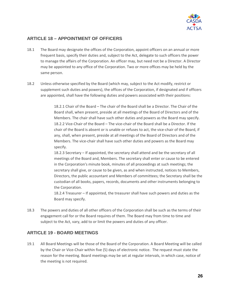

### **ARTICLE 18 – APPOINTMENT OF OFFICERS**

- 18.1 The Board may designate the offices of the Corporation, appoint officers on an annual or more frequent basis, specify their duties and, subject to the Act, delegate to such officers the power to manage the affairs of the Corporation. An officer may, but need not be a Director. A Director may be appointed to any office of the Corporation. Two or more offices may be held by the same person.
- 18.2 Unless otherwise specified by the Board (which may, subject to the Act modify, restrict or supplement such duties and powers), the offices of the Corporation, if designated and if officers are appointed, shall have the following duties and powers associated with their positions:

18.2.1 Chair of the Board – The chair of the Board shall be a Director. The Chair of the Board shall, when present, preside at all meetings of the Board of Directors and of the Members. The chair shall have such other duties and powers as the Board may specify. 18.2.2 Vice-Chair of the Board – The vice-chair of the Board shall be a Director. If the chair of the Board is absent or is unable or refuses to act, the vice-chair of the Board, if any, shall, when present, preside at all meetings of the Board of Directors and of the Members. The vice-chair shall have such other duties and powers as the Board may specify.

18.2.3 Secretary – If appointed, the secretary shall attend and be the secretary of all meetings of the Board and, Members. The secretary shall enter or cause to be entered in the Corporation's minute book, minutes of all proceedings at such meetings; the secretary shall give, or cause to be given, as and when instructed, notices to Members, Directors, the public accountant and Members of committees; the Secretary shall be the custodian of all books, papers, records, documents and other instruments belonging to the Corporation.

18.2.4 Treasurer – If appointed, the treasurer shall have such powers and duties as the Board may specify.

18.3 The powers and duties of all other officers of the Corporation shall be such as the terms of their engagement call for or the Board requires of them. The Board may from time to time and subject to the Act, vary, add to or limit the powers and duties of any officer.

### **ARTICLE 19 - BOARD MEETINGS**

19.1 All Board Meetings will be those of the Board of the Corporation. A Board Meeting will be called by the Chair or Vice-Chair within five (5) days of electronic notice. The request must state the reason for the meeting. Board meetings may be set at regular intervals, in which case, notice of the meeting is not required.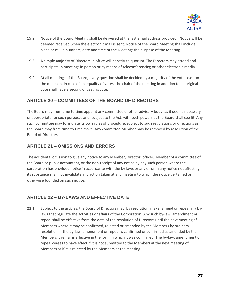

- 19.2 Notice of the Board Meeting shall be delivered at the last email address provided. Notice will be deemed received when the electronic mail is sent. Notice of the Board Meeting shall include: place or call in numbers, date and time of the Meeting; the purpose of the Meeting.
- 19.3 A simple majority of Directors in office will constitute quorum. The Directors may attend and participate in meetings in person or by means of teleconferencing or other electronic media.
- 19.4 At all meetings of the Board, every question shall be decided by a majority of the votes cast on the question. In case of an equality of votes, the chair of the meeting in addition to an original vote shall have a second or casting vote.

# **ARTICLE 20 – COMMITTEES OF THE BOARD OF DIRECTORS**

The Board may from time to time appoint any committee or other advisory body, as it deems necessary or appropriate for such purposes and, subject to the Act, with such powers as the Board shall see fit. Any such committee may formulate its own rules of procedure, subject to such regulations or directions as the Board may from time to time make. Any committee Member may be removed by resolution of the Board of Directors.

### **ARTICLE 21 – OMISSIONS AND ERRORS**

The accidental omission to give any notice to any Member, Director, officer, Member of a committee of the Board or public accountant, or the non-receipt of any notice by any such person where the corporation has provided notice in accordance with the by-laws or any error in any notice not affecting its substance shall not invalidate any action taken at any meeting to which the notice pertained or otherwise founded on such notice.

### **ARTICLE 22 – BY-LAWS AND EFFECTIVE DATE**

22.1 Subject to the articles, the Board of Directors may, by resolution, make, amend or repeal any bylaws that regulate the activities or affairs of the Corporation. Any such by-law, amendment or repeal shall be effective from the date of the resolution of Directors until the next meeting of Members where it may be confirmed, rejected or amended by the Members by ordinary resolution. If the by-law, amendment or repeal is confirmed or confirmed as amended by the Members it remains effective in the form in which it was confirmed. The by-law, amendment or repeal ceases to have effect if it is not submitted to the Members at the next meeting of Members or if it is rejected by the Members at the meeting.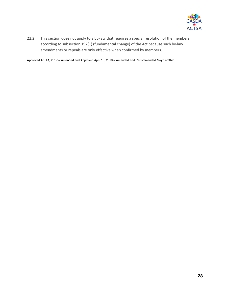

22.2 This section does not apply to a by-law that requires a special resolution of the members according to subsection 197(1) (fundamental change) of the Act because such by-law amendments or repeals are only effective when confirmed by members.

Approved April 4, 2017 – Amended and Approved April 18, 2018 – Amended and Recommended May 14 2020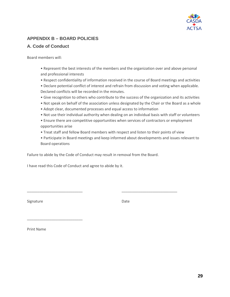

# **APPENDIX B – BOARD POLICIES**

### **A. Code of Conduct**

Board members will:

- Represent the best interests of the members and the organization over and above personal and professional interests
- Respect confidentiality of information received in the course of Board meetings and activities
- Declare potential conflict of interest and refrain from discussion and voting when applicable. Declared conflicts will be recorded in the minutes.
- Give recognition to others who contribute to the success of the organization and its activities
- Not speak on behalf of the association unless designated by the Chair or the Board as a whole
- Adopt clear, documented processes and equal access to information
- Not use their individual authority when dealing on an individual basis with staff or volunteers
- Ensure there are competitive opportunities when services of contractors or employment opportunities arise
- Treat staff and fellow Board members with respect and listen to their points of view
- Participate in Board meetings and keep informed about developments and issues relevant to Board operations

Failure to abide by the Code of Conduct may result in removal from the Board.

\_\_\_\_\_\_\_\_\_\_\_\_\_\_\_\_\_\_\_\_\_\_\_\_\_\_\_ \_\_\_\_\_\_\_\_\_\_\_\_\_\_\_\_\_\_\_\_\_\_\_\_\_\_\_

I have read this Code of Conduct and agree to abide by it.

Signature Date Date

Print Name

\_\_\_\_\_\_\_\_\_\_\_\_\_\_\_\_\_\_\_\_\_\_\_\_\_\_\_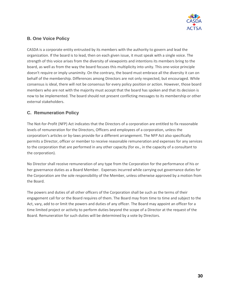

### **B. One Voice Policy**

CASDA is a corporate entity entrusted by its members with the authority to govern and lead the organization. If the board is to lead, then on each given issue, it must speak with a single voice. The strength of this voice arises from the diversity of viewpoints and intentions its members bring to the board, as well as from the way the board focuses this multiplicity into unity. This one-voice principle doesn't require or imply unanimity. On the contrary, the board must embrace all the diversity it can on behalf of the membership. Differences among Directors are not only respected, but encouraged. While consensus is ideal, there will not be consensus for every policy position or action. However, those board members who are not with the majority must accept that the board has spoken and that its decision is now to be implemented. The board should not present conflicting messages to its membership or other external stakeholders.

### **C. Remuneration Policy**

The Not-for-Profit (NFP) Act indicates that the Directors of a corporation are entitled to fix reasonable levels of remuneration for the Directors, Officers and employees of a corporation, unless the corporation's articles or by-laws provide for a different arrangement. The NFP Act also specifically permits a Director, officer or member to receive reasonable remuneration and expenses for any services to the corporation that are performed in any other capacity (for ex., in the capacity of a consultant to the corporation).

No Director shall receive remuneration of any type from the Corporation for the performance of his or her governance duties as a Board Member. Expenses incurred while carrying out governance duties for the Corporation are the sole responsibility of the Member, unless otherwise approved by a motion from the Board.

The powers and duties of all other officers of the Corporation shall be such as the terms of their engagement call for or the Board requires of them. The Board may from time to time and subject to the Act, vary, add to or limit the powers and duties of any officer. The Board may appoint an officer for a time limited project or activity to perform duties beyond the scope of a Director at the request of the Board. Remuneration for such duties will be determined by a vote by Directors.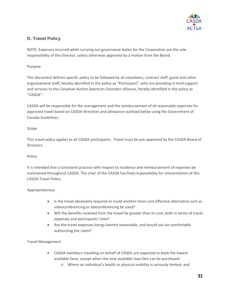

# **D. Travel Policy**

NOTE: Expenses incurred while carrying out governance duties for the Corporation are the sole responsibility of the Director, unless otherwise approved by a motion from the Board.

### Purpose

This document defines specific policy to be followed by all volunteers, contract staff, guest and other organizational staff, hereby identified in the policy as "Participant", who are providing in-kind support and services to the Canadian Autism Spectrum Disorders Alliance, hereby identified in the policy as "CASDA".

CASDA will be responsible for the management and the reimbursement of all reasonable expenses for approved travel based on CASDA directives and allowance outlined below using the Government of Canada Guidelines.

### Scope

This travel policy applies to all CASDA participants. Travel must be pre-approved by the CASDA Board of Directors.

#### Policy

It is intended that a consistent practice with respect to incidence and reimbursement of expenses be maintained throughout CASDA. The chair of the CASDA has final responsibility for interpretation of this CASDA Travel Policy.

### Appropriateness

- Is the travel absolutely required or could another more cost effective alternative such as videoconferencing or teleconferencing be used?
- Will the benefits received from the travel be greater than its cost, both in terms of travel expenses and participants' time?
- Are the travel expenses being claimed reasonable, and would you be comfortable authorizing the claim?

#### Travel Management

- CASDA members travelling on behalf of CASDA are expected to book the lowest available fares, except when the next available class fare can be purchased:
	- o Where an individual's health or physical mobility is seriously limited; and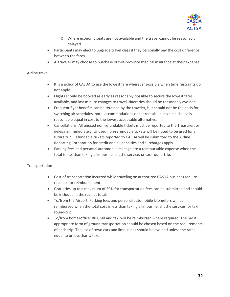

- o Where economy seats are not available and the travel cannot be reasonably delayed.
- Participants may elect to upgrade travel class if they personally pay the cost difference between the fares.
- A Traveler may choose to purchase out-of-province medical insurance at their expense.

#### Airline travel

- It is a policy of CASDA to use the lowest fare wherever possible when time restraints do not apply.
- Flights should be booked as early as reasonably possible to secure the lowest fares available, and last minute changes to travel itineraries should be reasonably avoided.
- Frequent flyer benefits can be retained by the traveler, but should not be the basis for switching air schedules, hotel accommodations or car rentals unless such choice is reasonable equal in cost to the lowest acceptable alternative.
- Cancellations: All unused non-refundable tickets must be reported to the Treasurer, or delegate, immediately. Unused non-refundable tickets will be noted to be used for a future trip. Refundable tickets reported to CASDA will be submitted to the Airline Reporting Corporation for credit and all penalties and surcharges apply.
- Parking fees and personal automobile mileage are a reimbursable expense when the total is less than taking a limousine, shuttle service, or taxi round-trip.

#### Transportation

- Cost of transportation incurred while traveling on authorized CASDA business require receipts for reimbursement.
- Gratuities up to a maximum of 20% for transportation fees can be submitted and should be included in the receipt total.
- To/from the Airport: Parking fees and personal automobile kilometers will be reimbursed when the total cost is less than taking a limousine, shuttle services, or taxi round-trip.
- To/from home/office: Bus, rail and taxi will be reimbursed where required. The most appropriate form of ground transportation should be chosen based on the requirements of each trip. The use of town cars and limousines should be avoided unless the rates equal to or less than a taxi.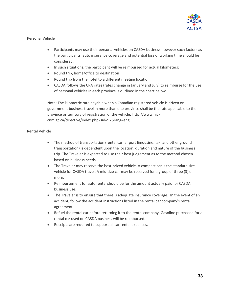

#### Personal Vehicle

- Participants may use their personal vehicles on CASDA business however such factors as the participants' auto insurance coverage and potential loss of working time should be considered.
- In such situations, the participant will be reimbursed for actual kilometers:
- Round trip, home/office to destination
- Round trip from the hotel to a different meeting location.
- CASDA follows the CRA rates (rates change in January and July) to reimburse for the use of personal vehicles in each province is outlined in the chart below.

Note: The kilometric rate payable when a Canadian registered vehicle is driven on government business travel in more than one province shall be the rate applicable to the province or territory of registration of the vehicle. [http://www.njc](http://www.njc-cnm.gc.ca/directive/index.php?sid=97&lang=eng)[cnm.gc.ca/directive/index.php?sid=97&lang=eng](http://www.njc-cnm.gc.ca/directive/index.php?sid=97&lang=eng)

#### Rental Vehicle

- The method of transportation (rental car, airport limousine, taxi and other ground transportation) is dependent upon the location, duration and nature of the business trip. The Traveler is expected to use their best judgement as to the method chosen based on business needs.
- The Traveler may reserve the best-priced vehicle. A compact car is the standard size vehicle for CASDA travel. A mid-size car may be reserved for a group of three (3) or more.
- Reimbursement for auto rental should be for the amount actually paid for CASDA business use.
- The Traveler is to ensure that there is adequate insurance coverage. In the event of an accident, follow the accident instructions listed in the rental car company's rental agreement.
- Refuel the rental car before returning it to the rental company. Gasoline purchased for a rental car used on CASDA business will be reimbursed.
- Receipts are required to support all car rental expenses.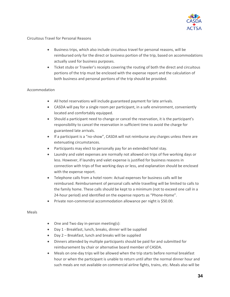

#### Circuitous Travel for Personal Reasons

- Business trips, which also include circuitous travel for personal reasons, will be reimbursed only for the direct or business portion of the trip, based on accommodations actually used for business purposes.
- Ticket stubs or Traveler's receipts covering the routing of both the direct and circuitous portions of the trip must be enclosed with the expense report and the calculation of both business and personal portions of the trip should be provided.

#### Accommodation

- All hotel reservations will include guaranteed payment for late arrivals.
- CASDA will pay for a single room per participant, in a safe environment, conveniently located and comfortably equipped.
- Should a participant need to change or cancel the reservation, it is the participant's responsibility to cancel the reservation in sufficient time to avoid the charge for guaranteed late arrivals.
- If a participant is a "no-show", CASDA will not reimburse any charges unless there are extenuating circumstances.
- Participants may elect to personally pay for an extended hotel stay.
- Laundry and valet expenses are normally not allowed on trips of five working days or less. However, if laundry and valet expense is justified for business reasons in connection with trips of five working days or less, and explanation should be enclosed with the expense report.
- Telephone calls from a hotel room: Actual expenses for business calls will be reimbursed. Reimbursement of personal calls while travelling will be limited to calls to the family home. These calls should be kept to a minimum (not to exceed one call in a 24-hour period) and identified on the expense reports as "Phone-Home".
- Private non-commercial accommodation allowance per night is \$50.00.

#### Meals

- One and Two day in-person meeting(s):
- Day 1 Breakfast, lunch, breaks, dinner will be supplied
- Day 2 Breakfast, lunch and breaks will be supplied
- Dinners attended by multiple participants should be paid for and submitted for reimbursement by chair or alternative board member of CASDA.
- Meals on one-day trips will be allowed when the trip starts before normal breakfast hour or when the participant is unable to return until after the normal dinner hour and such meals are not available on commercial airline fights, trains, etc. Meals also will be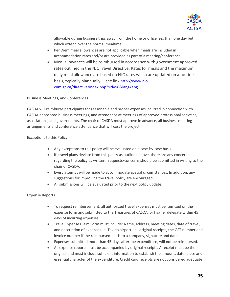

allowable during business trips away from the home or office less than one day but which extend over the normal mealtime.

- Per Diem meal allowances are not applicable when meals are included in accommodation rates and/or are provided as part of a meeting/conference.
- Meal allowances will be reimbursed in accordance with government approved rates outlined in the NJC Travel Directive. Rates for meals and the maximum daily meal allowance are based on NJC rates which are updated on a routine basis, typically biannually. – see link [http://www.njc](http://www.njc-cnm.gc.ca/directive/index.php?sid=98&lang=eng)[cnm.gc.ca/directive/index.php?sid=98&lang=eng](http://www.njc-cnm.gc.ca/directive/index.php?sid=98&lang=eng)

Business Meetings, and Conferences

CASDA will reimburse participants for reasonable and proper expenses incurred in connection with CASDA-sponsored business meetings, and attendance at meetings of approved professional societies, associations, and governments. The chair of CASDA must approve in advance, all business meeting arrangements and conference attendance that will cost the project.

#### Exceptions to this Policy

- Any exceptions to this policy will be evaluated on a case-by-case basis.
- If travel plans deviate from this policy as outlined above, there are any concerns regarding the policy as written, requests/concerns should be submitted in writing to the chair of CASDA.
- Every attempt will be made to accommodate special circumstances. In addition, any suggestions for improving the travel policy are encouraged.
- All submissions will be evaluated prior to the next policy update.

#### Expense Reports

- To request reimbursement, all authorized travel expenses must be itemized on the expense form and submitted to the Treasures of CASDA, or his/her delegate within 45 days of incurring expenses.
- Travel Expense Claim Form must include: Name, address, meeting dates, date of travel, and description of expense (i.e. Taxi to airport), all original receipts, the GST number and invoice number if the reimbursement is to a company, signature and date.
- Expenses submitted more than 45-days after the expenditure, will not be reimbursed.
- All expense reports must be accompanied by original receipts. A receipt must be the original and must include sufficient information to establish the amount, date, place and essential character of the expenditure. Credit card receipts are not considered adequate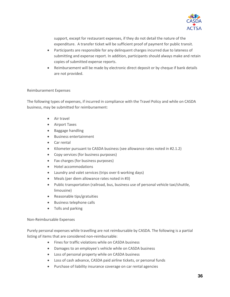

support, except for restaurant expenses, if they do not detail the nature of the expenditure. A transfer ticket will be sufficient proof of payment for public transit.

- Participants are responsible for any delinquent charges incurred due to lateness of submitting and expense report. In addition, participants should always make and retain copies of submitted expense reports.
- Reimbursement will be made by electronic direct deposit or by cheque if bank details are not provided.

#### Reimbursement Expenses

The following types of expenses, if incurred in compliance with the Travel Policy and while on CASDA business, may be submitted for reimbursement:

- Air travel
- Airport Taxes
- Baggage handling
- Business entertainment
- Car rental
- Kilometer pursuant to CASDA business (see allowance rates noted in #2.1.2)
- Copy services (for business purposes)
- Fax charges (for business purposes)
- Hotel accommodations
- Laundry and valet services (trips over 6 working days)
- Meals (per diem allowance rates noted in #3)
- Public transportation (railroad, bus, business use of personal vehicle taxi/shuttle, limousine)
- Reasonable tips/gratuities
- Business telephone calls
- Tolls and parking

#### Non-Reimbursable Expenses

Purely personal expenses while travelling are not reimbursable by CASDA. The following is a partial listing of items that are considered non-reimbursable:

- Fines for traffic violations while on CASDA business
- Damages to an employee's vehicle while on CASDA business
- Loss of personal property while on CASDA business
- Loss of cash advance, CASDA paid airline tickets, or personal funds
- Purchase of liability insurance coverage on car rental agencies